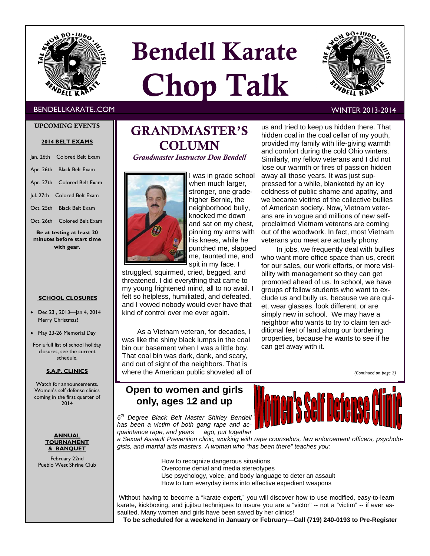

# Bendell Karate Chop Talk



### BENDELLKARATE..COM WINTER 2013-2014

### UPCOMING EVENTS

### **2014 BELT EXAMS**

|                                                        | Jan. 26th Colored Belt Exam |  |  |  |  |
|--------------------------------------------------------|-----------------------------|--|--|--|--|
|                                                        | Apr. 26th Black Belt Exam   |  |  |  |  |
|                                                        | Apr. 27th Colored Belt Exam |  |  |  |  |
|                                                        | Jul. 27th Colored Belt Exam |  |  |  |  |
|                                                        | Oct. 25th Black Belt Exam   |  |  |  |  |
|                                                        | Oct. 26th Colored Belt Exam |  |  |  |  |
| Be at testing at least 20<br>minutes before start time |                             |  |  |  |  |

**with gear.** 

### **SCHOOL CLOSURES**

- Dec 23 , 2013—Jan 4, 2014 Merry Christmas!
- May 23-26 Memorial Day

For a full list of school holiday closures, see the current schedule.

### **S.A.P. CLINICS**

Watch for announcements. Women's self defense clinics coming in the first quarter of 2014

> **ANNUAL TOURNAMENT & BANQUET**

February 22nd Pueblo West Shrine Club

# GRANDMASTER'S COLUMN

*Grandmaster Instructor Don Bendell* 



I was in grade school when much larger, stronger, one gradehigher Bernie, the neighborhood bully, knocked me down and sat on my chest, pinning my arms with his knees, while he punched me, slapped me, taunted me, and spit in my face. I

struggled, squirmed, cried, begged, and threatened. I did everything that came to my young frightened mind, all to no avail. I felt so helpless, humiliated, and defeated, and I vowed nobody would ever have that kind of control over me ever again.

As a Vietnam veteran, for decades, I was like the shiny black lumps in the coal bin our basement when I was a little boy. That coal bin was dark, dank, and scary, and out of sight of the neighbors. That is where the American public shoveled all of

## **Open to women and girls only, ages 12 and up**

*6th Degree Black Belt Master Shirley Bendell has been a victim of both gang rape and acquaintance rape, and years ago, put together* 



*a Sexual Assault Prevention clinic, working with rape counselors, law enforcement officers, psychologists, and martial arts masters. A woman who "has been there" teaches you:* 

> How to recognize dangerous situations Overcome denial and media stereotypes Use psychology, voice, and body language to deter an assault How to turn everyday items into effective expedient weapons

Without having to become a "karate expert," you will discover how to use modified, easy-to-learn karate, kickboxing, and jujitsu techniques to insure you are a "victor" -- not a "victim" -- if ever assaulted. Many women and girls have been saved by her clinics!

**To be scheduled for a weekend in January or February—Call (719) 240-0193 to Pre-Register**

us and tried to keep us hidden there. That hidden coal in the coal cellar of my youth, provided my family with life-giving warmth and comfort during the cold Ohio winters. Similarly, my fellow veterans and I did not lose our warmth or fires of passion hidden away all those years. It was just suppressed for a while, blanketed by an icy coldness of public shame and apathy, and we became victims of the collective bullies of American society. Now, Vietnam veterans are in vogue and millions of new selfproclaimed Vietnam veterans are coming out of the woodwork. In fact, most Vietnam veterans you meet are actually phony.

In jobs, we frequently deal with bullies who want more office space than us, credit for our sales, our work efforts, or more visibility with management so they can get promoted ahead of us. In school, we have groups of fellow students who want to exclude us and bully us, because we are quiet, wear glasses, look different, or are simply new in school. We may have a neighbor who wants to try to claim ten additional feet of land along our bordering properties, because he wants to see if he can get away with it.

*(Continued on page 2)*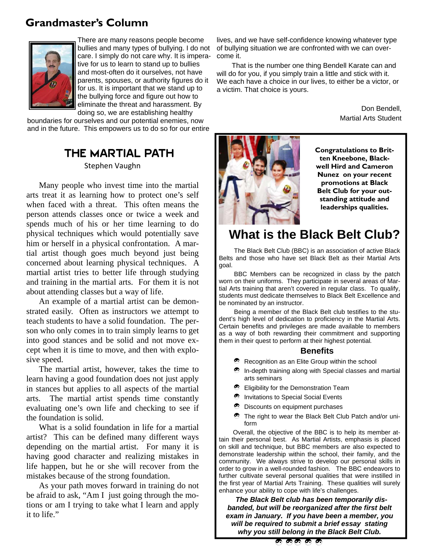# **Grandmaster's Column**



There are many reasons people become bullies and many types of bullying. I do not care. I simply do not care why. It is imperative for us to learn to stand up to bullies and most-often do it ourselves, not have parents, spouses, or authority figures do it for us. It is important that we stand up to the bullying force and figure out how to eliminate the threat and harassment. By doing so, we are establishing healthy

boundaries for ourselves and our potential enemies, now and in the future. This empowers us to do so for our entire

## THE MARTIAL PATH Stephen Vaughn

Many people who invest time into the martial arts treat it as learning how to protect one's self when faced with a threat. This often means the person attends classes once or twice a week and spends much of his or her time learning to do physical techniques which would potentially save him or herself in a physical confrontation. A martial artist though goes much beyond just being concerned about learning physical techniques. A martial artist tries to better life through studying and training in the martial arts. For them it is not about attending classes but a way of life.

An example of a martial artist can be demonstrated easily. Often as instructors we attempt to teach students to have a solid foundation. The person who only comes in to train simply learns to get into good stances and be solid and not move except when it is time to move, and then with explosive speed.

The martial artist, however, takes the time to learn having a good foundation does not just apply in stances but applies to all aspects of the martial arts. The martial artist spends time constantly evaluating one's own life and checking to see if the foundation is solid.

What is a solid foundation in life for a martial artist? This can be defined many different ways depending on the martial artist. For many it is having good character and realizing mistakes in life happen, but he or she will recover from the mistakes because of the strong foundation.

As your path moves forward in training do not be afraid to ask, "Am I just going through the motions or am I trying to take what I learn and apply it to life."

lives, and we have self-confidence knowing whatever type of bullying situation we are confronted with we can overcome it.

That is the number one thing Bendell Karate can and will do for you, if you simply train a little and stick with it. We each have a choice in our lives, to either be a victor, or a victim. That choice is yours.

> Don Bendell, Martial Arts Student



**Congratulations to Britten Kneebone, Blackwell Hird and Cameron Nunez on your recent promotions at Black Belt Club for your outstanding attitude and leaderships qualities.** 

# **What is the Black Belt Club?**

The Black Belt Club (BBC) is an association of active Black Belts and those who have set Black Belt as their Martial Arts goal.

BBC Members can be recognized in class by the patch worn on their uniforms. They participate in several areas of Martial Arts training that aren't covered in regular class. To qualify, students must dedicate themselves to Black Belt Excellence and be nominated by an instructor.

Being a member of the Black Belt club testifies to the student's high level of dedication to proficiency in the Martial Arts. Certain benefits and privileges are made available to members as a way of both rewarding their commitment and supporting them in their quest to perform at their highest potential*.* 

### **Benefits**

- $\bullet$  Recognition as an Elite Group within the school
- In-depth training along with Special classes and martial arts seminars
- $\bullet$  Eligibility for the Demonstration Team
- $\bullet$  Invitations to Special Social Events
- $\bullet$  Discounts on equipment purchases
- The right to wear the Black Belt Club Patch and/or uniform

 Overall, the objective of the BBC is to help its member attain their personal best. As Martial Artists, emphasis is placed on skill and technique, but BBC members are also expected to demonstrate leadership within the school, their family, and the community. We always strive to develop our personal skills in order to grow in a well-rounded fashion. The BBC endeavors to further cultivate several personal qualities that were instilled in the first year of Martial Arts Training. These qualities will surely enhance your ability to cope with life's challenges.

 *The Black Belt club has been temporarily disbanded, but will be reorganized after the first belt exam in January. If you have been a member, you will be required to submit a brief essay stating why you still belong in the Black Belt Club.* 

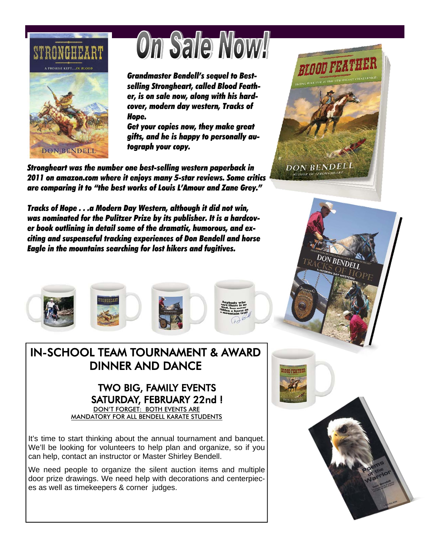

# On Sale Nowl

*Grandmaster Bendell's sequel to Bestselling Strongheart, called Blood Feather, is on sale now, along with his hardcover, modern day western, Tracks of Hope.* 

*Get your copies now, they make great gifts, and he is happy to personally autograph your copy.* 

*Strongheart was the number one best-selling western paperback in 2011 on amazon.com where it enjoys many 5-star reviews. Some critics are comparing it to "the best works of Louis L'Amour and Zane Grey."* 

*Tracks of Hope . . .a Modern Day Western, although it did not win, was nominated for the Pulitzer Prize by its publisher. It is a hardcover book outlining in detail some of the dramatic, humorous, and exciting and suspenseful tracking experiences of Don Bendell and horse Eagle in the mountains searching for lost hikers and fugitives.* 



# IN-SCHOOL TEAM TOURNAMENT & AWARD DINNER AND DANCE

# TWO BIG, FAMILY EVENTS SATURDAY, FEBRUARY 22nd !

DON'T FORGET: BOTH EVENTS ARE MANDATORY FOR ALL BENDELL KARATE STUDENTS

It's time to start thinking about the annual tournament and banquet. We'll be looking for volunteers to help plan and organize, so if you can help, contact an instructor or Master Shirley Bendell.

We need people to organize the silent auction items and multiple door prize drawings. We need help with decorations and centerpieces as well as timekeepers & corner judges.



DON BENDELL